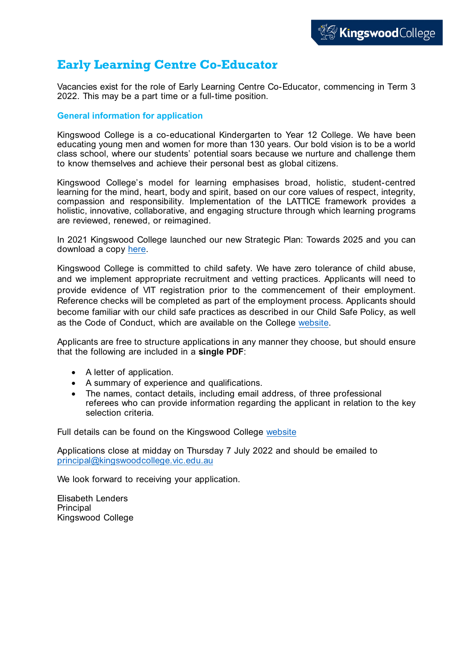# **Early Learning Centre Co-Educator**

Vacancies exist for the role of Early Learning Centre Co-Educator, commencing in Term 3 2022. This may be a part time or a full-time position.

## **General information for application**

Kingswood College is a co-educational Kindergarten to Year 12 College. We have been educating young men and women for more than 130 years. Our bold vision is to be a world class school, where our students' potential soars because we nurture and challenge them to know themselves and achieve their personal best as global citizens.

Kingswood College's model for learning emphasises broad, holistic, student-centred learning for the mind, heart, body and spirit, based on our core values of respect, integrity, compassion and responsibility. Implementation of the LATTICE framework provides a holistic, innovative, collaborative, and engaging structure through which learning programs are reviewed, renewed, or reimagined.

In 2021 Kingswood College launched our new Strategic Plan: Towards 2025 and you can download a copy [here.](https://www.kingswoodcollege.vic.edu.au/wp-content/uploads/2021/06/Strategic-Plan-FINAL-1.pdf)

Kingswood College is committed to child safety. We have zero tolerance of child abuse, and we implement appropriate recruitment and vetting practices. Applicants will need to provide evidence of VIT registration prior to the commencement of their employment. Reference checks will be completed as part of the employment process. Applicants should become familiar with our child safe practices as described in our Child Safe Policy, as well as the Code of Conduct, which are available on the College [website.](https://www.kingswoodcollege.vic.edu.au/policy)

Applicants are free to structure applications in any manner they choose, but should ensure that the following are included in a **single PDF**:

- A letter of application.
- A summary of experience and qualifications.
- The names, contact details, including email address, of three professional referees who can provide information regarding the applicant in relation to the key selection criteria.

Full details can be found on the Kingswood College [website](https://www.kingswoodcollege.vic.edu.au/join-us/#st-employment)

Applications close at midday on Thursday 7 July 2022 and should be emailed to [principal@kingswoodcollege.vic.edu.au](mailto:principal@kingswoodcollege.vic.edu.au)

We look forward to receiving your application.

Elisabeth Lenders **Principal** Kingswood College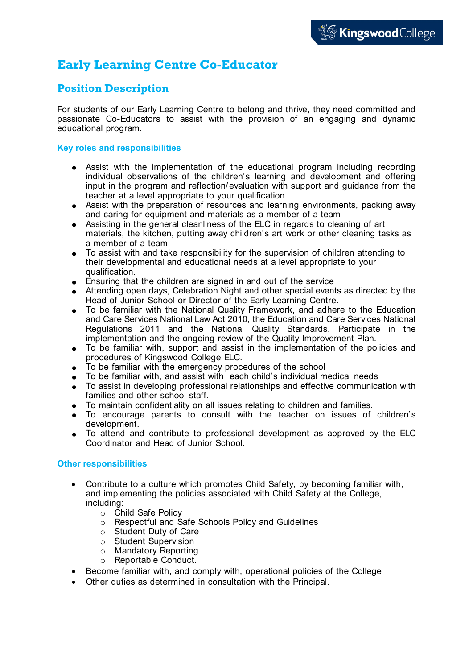# **Early Learning Centre Co-Educator**

# **Position Description**

For students of our Early Learning Centre to belong and thrive, they need committed and passionate Co-Educators to assist with the provision of an engaging and dynamic educational program.

# **Key roles and responsibilities**

- Assist with the implementation of the educational program including recording individual observations of the children's learning and development and offering input in the program and reflection/evaluation with support and guidance from the teacher at a level appropriate to your qualification.
- Assist with the preparation of resources and learning environments, packing away and caring for equipment and materials as a member of a team
- Assisting in the general cleanliness of the ELC in regards to cleaning of art materials, the kitchen, putting away children's art work or other cleaning tasks as a member of a team.
- To assist with and take responsibility for the supervision of children attending to their developmental and educational needs at a level appropriate to your qualification.
- Ensuring that the children are signed in and out of the service
- Attending open days, Celebration Night and other special events as directed by the Head of Junior School or Director of the Early Learning Centre.
- To be familiar with the National Quality Framework, and adhere to the Education and Care Services National Law Act 2010, the Education and Care Services National Regulations 2011 and the National Quality Standards. Participate in the implementation and the ongoing review of the Quality Improvement Plan.
- To be familiar with, support and assist in the implementation of the policies and procedures of Kingswood College ELC.
- To be familiar with the emergency procedures of the school
- To be familiar with, and assist with each child's individual medical needs
- To assist in developing professional relationships and effective communication with families and other school staff.
- To maintain confidentiality on all issues relating to children and families.
- To encourage parents to consult with the teacher on issues of children's development.
- To attend and contribute to professional development as approved by the ELC Coordinator and Head of Junior School.

## **Other responsibilities**

- Contribute to a culture which promotes Child Safety, by becoming familiar with, and implementing the policies associated with Child Safety at the College, including:
	- o Child Safe Policy
	- o Respectful and Safe Schools Policy and Guidelines
	- o Student Duty of Care
	- o Student Supervision
	- o Mandatory Reporting
	- o Reportable Conduct.
- Become familiar with, and comply with, operational policies of the College
- Other duties as determined in consultation with the Principal.